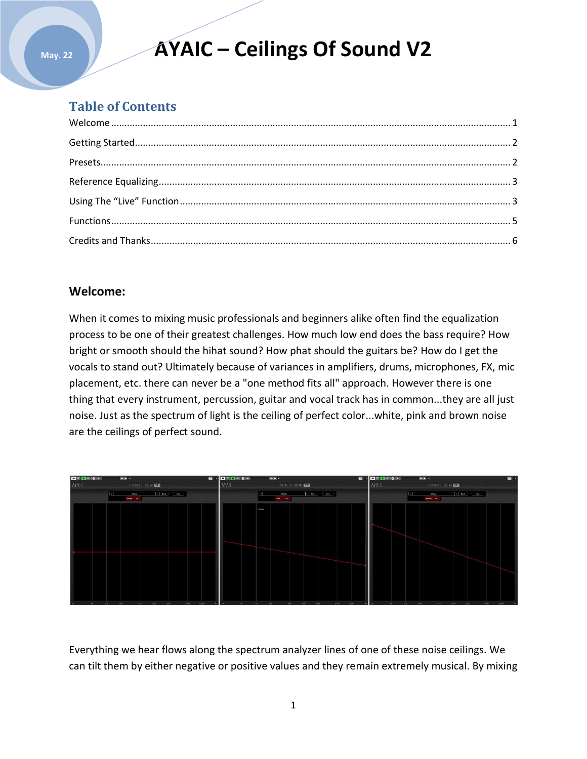# **AYAIC – Ceilings Of Sound V2**

### **Table of Contents**

**May. 22**

### **Welcome:**

When it comes to mixing music professionals and beginners alike often find the equalization process to be one of their greatest challenges. How much low end does the bass require? How bright or smooth should the hihat sound? How phat should the guitars be? How do I get the vocals to stand out? Ultimately because of variances in amplifiers, drums, microphones, FX, mic placement, etc. there can never be a "one method fits all" approach. However there is one thing that every instrument, percussion, guitar and vocal track has in common...they are all just noise. Just as the spectrum of light is the ceiling of perfect color...white, pink and brown noise are the ceilings of perfect sound.



Everything we hear flows along the spectrum analyzer lines of one of these noise ceilings. We can tilt them by either negative or positive values and they remain extremely musical. By mixing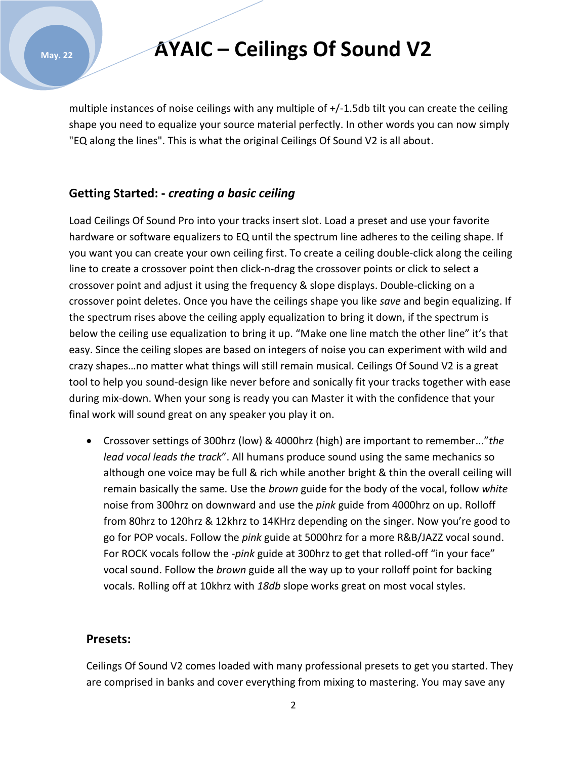### **AYAIC – Ceilings Of Sound V2**

multiple instances of noise ceilings with any multiple of +/-1.5db tilt you can create the ceiling shape you need to equalize your source material perfectly. In other words you can now simply "EQ along the lines". This is what the original Ceilings Of Sound V2 is all about.

### **Getting Started: -** *creating a basic ceiling*

Load Ceilings Of Sound Pro into your tracks insert slot. Load a preset and use your favorite hardware or software equalizers to EQ until the spectrum line adheres to the ceiling shape. If you want you can create your own ceiling first. To create a ceiling double-click along the ceiling line to create a crossover point then click-n-drag the crossover points or click to select a crossover point and adjust it using the frequency & slope displays. Double-clicking on a crossover point deletes. Once you have the ceilings shape you like *save* and begin equalizing. If the spectrum rises above the ceiling apply equalization to bring it down, if the spectrum is below the ceiling use equalization to bring it up. "Make one line match the other line" it's that easy. Since the ceiling slopes are based on integers of noise you can experiment with wild and crazy shapes…no matter what things will still remain musical. Ceilings Of Sound V2 is a great tool to help you sound-design like never before and sonically fit your tracks together with ease during mix-down. When your song is ready you can Master it with the confidence that your final work will sound great on any speaker you play it on.

 Crossover settings of 300hrz (low) & 4000hrz (high) are important to remember..."*the lead vocal leads the track*". All humans produce sound using the same mechanics so although one voice may be full & rich while another bright & thin the overall ceiling will remain basically the same. Use the *brown* guide for the body of the vocal, follow *white* noise from 300hrz on downward and use the *pink* guide from 4000hrz on up. Rolloff from 80hrz to 120hrz & 12khrz to 14KHrz depending on the singer. Now you're good to go for POP vocals. Follow the *pink* guide at 5000hrz for a more R&B/JAZZ vocal sound. For ROCK vocals follow the -*pink* guide at 300hrz to get that rolled-off "in your face" vocal sound. Follow the *brown* guide all the way up to your rolloff point for backing vocals. Rolling off at 10khrz with *18db* slope works great on most vocal styles.

#### **Presets:**

Ceilings Of Sound V2 comes loaded with many professional presets to get you started. They are comprised in banks and cover everything from mixing to mastering. You may save any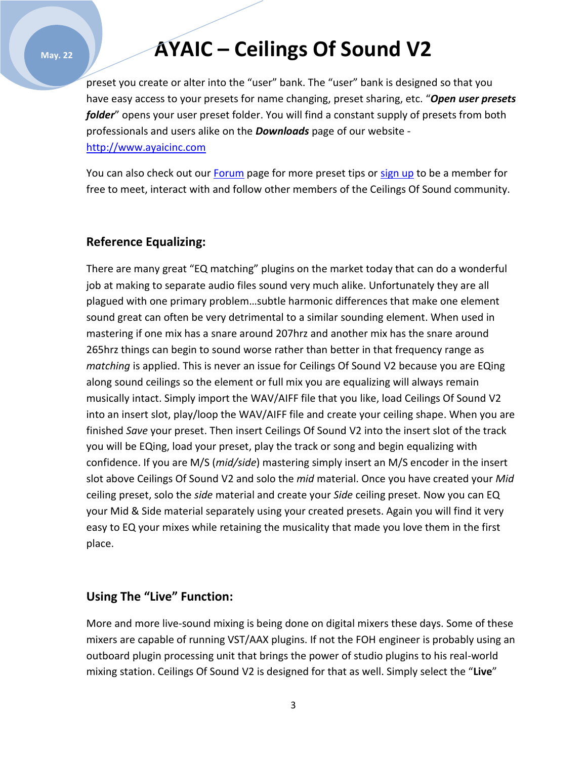#### **May. 22**

### **AYAIC – Ceilings Of Sound V2**

preset you create or alter into the "user" bank. The "user" bank is designed so that you have easy access to your presets for name changing, preset sharing, etc. "*Open user presets folder*" opens your user preset folder. You will find a constant supply of presets from both professionals and users alike on the *Downloads* page of our website [http://www.ayaicinc.com](http://www.ayaicinc.com/)

You can also check out our **Forum** page for more preset tips or [sign up](http://www.ayaicinc.com/members-1) to be a member for free to meet, interact with and follow other members of the Ceilings Of Sound community.

#### **Reference Equalizing:**

There are many great "EQ matching" plugins on the market today that can do a wonderful job at making to separate audio files sound very much alike. Unfortunately they are all plagued with one primary problem…subtle harmonic differences that make one element sound great can often be very detrimental to a similar sounding element. When used in mastering if one mix has a snare around 207hrz and another mix has the snare around 265hrz things can begin to sound worse rather than better in that frequency range as *matching* is applied. This is never an issue for Ceilings Of Sound V2 because you are EQing along sound ceilings so the element or full mix you are equalizing will always remain musically intact. Simply import the WAV/AIFF file that you like, load Ceilings Of Sound V2 into an insert slot, play/loop the WAV/AIFF file and create your ceiling shape. When you are finished *Save* your preset. Then insert Ceilings Of Sound V2 into the insert slot of the track you will be EQing, load your preset, play the track or song and begin equalizing with confidence. If you are M/S (*mid/side*) mastering simply insert an M/S encoder in the insert slot above Ceilings Of Sound V2 and solo the *mid* material. Once you have created your *Mid* ceiling preset, solo the *side* material and create your *Side* ceiling preset. Now you can EQ your Mid & Side material separately using your created presets. Again you will find it very easy to EQ your mixes while retaining the musicality that made you love them in the first place.

### **Using The "Live" Function:**

More and more live-sound mixing is being done on digital mixers these days. Some of these mixers are capable of running VST/AAX plugins. If not the FOH engineer is probably using an outboard plugin processing unit that brings the power of studio plugins to his real-world mixing station. Ceilings Of Sound V2 is designed for that as well. Simply select the "**Live**"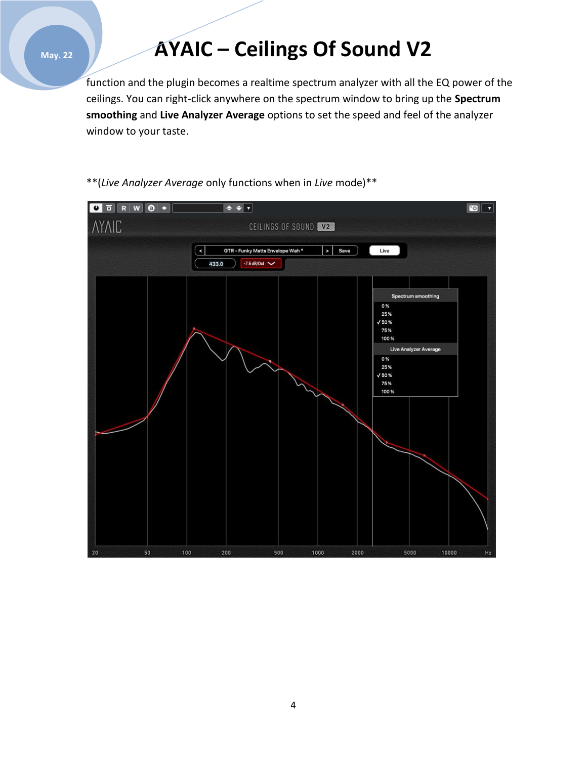#### **May. 22**

# **AYAIC – Ceilings Of Sound V2**

function and the plugin becomes a realtime spectrum analyzer with all the EQ power of the ceilings. You can right-click anywhere on the spectrum window to bring up the **Spectrum smoothing** and **Live Analyzer Average** options to set the speed and feel of the analyzer window to your taste.



\*\*(*Live Analyzer Average* only functions when in *Live* mode)\*\*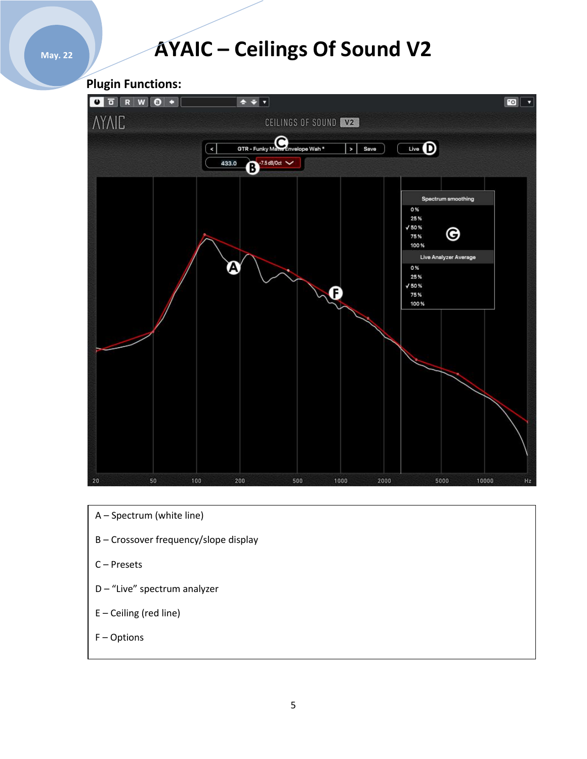### **AYAIC – Ceilings Of Sound V2**

**Plugin Functions:**



- A Spectrum (white line)
- B Crossover frequency/slope display
- C Presets
- D "Live" spectrum analyzer
- E Ceiling (red line)
- F Options